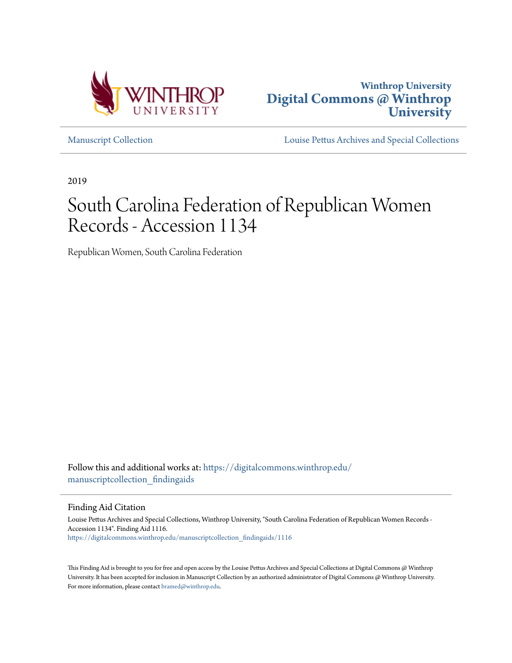



[Manuscript Collection](https://digitalcommons.winthrop.edu/manuscriptcollection_findingaids?utm_source=digitalcommons.winthrop.edu%2Fmanuscriptcollection_findingaids%2F1116&utm_medium=PDF&utm_campaign=PDFCoverPages) [Louise Pettus Archives and Special Collections](https://digitalcommons.winthrop.edu/pettus_archives?utm_source=digitalcommons.winthrop.edu%2Fmanuscriptcollection_findingaids%2F1116&utm_medium=PDF&utm_campaign=PDFCoverPages)

2019

# South Carolina Federation of Republican Women Records - Accession 1134

Republican Women, South Carolina Federation

Follow this and additional works at: [https://digitalcommons.winthrop.edu/](https://digitalcommons.winthrop.edu/manuscriptcollection_findingaids?utm_source=digitalcommons.winthrop.edu%2Fmanuscriptcollection_findingaids%2F1116&utm_medium=PDF&utm_campaign=PDFCoverPages) manuscriptcollection findingaids

Finding Aid Citation

Louise Pettus Archives and Special Collections, Winthrop University, "South Carolina Federation of Republican Women Records - Accession 1134". Finding Aid 1116. [https://digitalcommons.winthrop.edu/manuscriptcollection\\_findingaids/1116](https://digitalcommons.winthrop.edu/manuscriptcollection_findingaids/1116?utm_source=digitalcommons.winthrop.edu%2Fmanuscriptcollection_findingaids%2F1116&utm_medium=PDF&utm_campaign=PDFCoverPages)

This Finding Aid is brought to you for free and open access by the Louise Pettus Archives and Special Collections at Digital Commons @ Winthrop University. It has been accepted for inclusion in Manuscript Collection by an authorized administrator of Digital Commons @ Winthrop University. For more information, please contact [bramed@winthrop.edu.](mailto:bramed@winthrop.edu)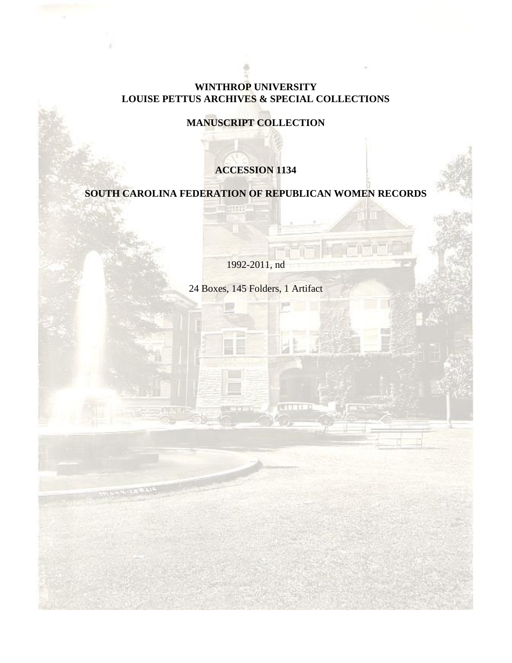## **WINTHROP UNIVERSITY LOUISE PETTUS ARCHIVES & SPECIAL COLLECTIONS**

**MANUSCRIPT COLLECTION**

# **ACCESSION 1134**

**SOUTH CAROLINA FEDERATION OF REPUBLICAN WOMEN RECORDS**

men

1992-2011, nd

24 Boxes, 145 Folders, 1 Artifact

**CELLER**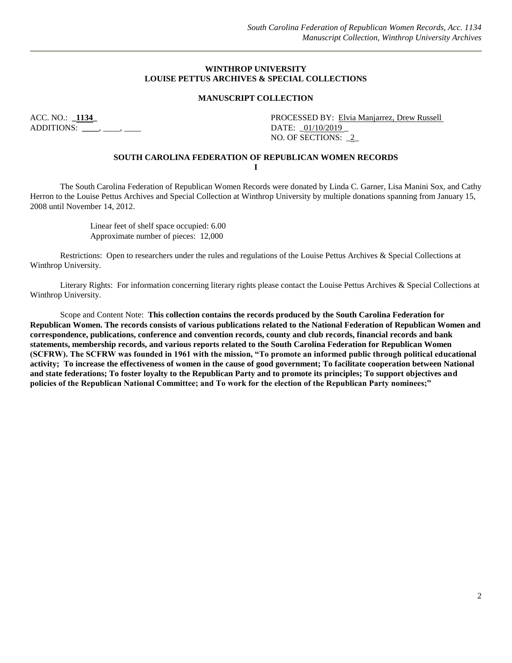#### **WINTHROP UNIVERSITY LOUISE PETTUS ARCHIVES & SPECIAL COLLECTIONS**

#### **MANUSCRIPT COLLECTION**

ADDITIONS: **\_\_\_\_**, \_\_\_\_, \_\_\_\_ DATE: \_01/10/2019 \_

ACC. NO.: **\_1134\_** PROCESSED BY: Elvia Manjarrez, Drew Russell NO. OF SECTIONS: \_2\_

#### **SOUTH CAROLINA FEDERATION OF REPUBLICAN WOMEN RECORDS I**

The South Carolina Federation of Republican Women Records were donated by Linda C. Garner, Lisa Manini Sox, and Cathy Herron to the Louise Pettus Archives and Special Collection at Winthrop University by multiple donations spanning from January 15, 2008 until November 14, 2012.

> Linear feet of shelf space occupied: 6.00 Approximate number of pieces: 12,000

Restrictions: Open to researchers under the rules and regulations of the Louise Pettus Archives & Special Collections at Winthrop University.

Literary Rights: For information concerning literary rights please contact the Louise Pettus Archives & Special Collections at Winthrop University.

Scope and Content Note: **This collection contains the records produced by the South Carolina Federation for Republican Women. The records consists of various publications related to the National Federation of Republican Women and correspondence, publications, conference and convention records, county and club records, financial records and bank statements, membership records, and various reports related to the South Carolina Federation for Republican Women (SCFRW). The SCFRW was founded in 1961 with the mission, "To promote an informed public through political educational activity; To increase the effectiveness of women in the cause of good government; To facilitate cooperation between National and state federations; To foster loyalty to the Republican Party and to promote its principles; To support objectives and policies of the Republican National Committee; and To work for the election of the Republican Party nominees;"**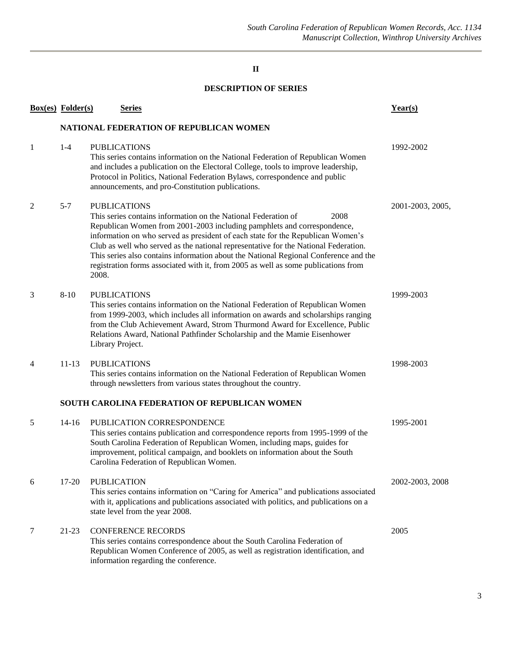## **II**

## **DESCRIPTION OF SERIES**

|   | <b>Box(es)</b> Folder(s)                | <b>Series</b>                                                                                                                                                                                                                                                                                                                                                                                                                                                                                                                             | Year(s)          |  |  |  |  |
|---|-----------------------------------------|-------------------------------------------------------------------------------------------------------------------------------------------------------------------------------------------------------------------------------------------------------------------------------------------------------------------------------------------------------------------------------------------------------------------------------------------------------------------------------------------------------------------------------------------|------------------|--|--|--|--|
|   | NATIONAL FEDERATION OF REPUBLICAN WOMEN |                                                                                                                                                                                                                                                                                                                                                                                                                                                                                                                                           |                  |  |  |  |  |
| 1 | $1-4$                                   | <b>PUBLICATIONS</b><br>This series contains information on the National Federation of Republican Women<br>and includes a publication on the Electoral College, tools to improve leadership,<br>Protocol in Politics, National Federation Bylaws, correspondence and public<br>announcements, and pro-Constitution publications.                                                                                                                                                                                                           | 1992-2002        |  |  |  |  |
| 2 | $5 - 7$                                 | <b>PUBLICATIONS</b><br>This series contains information on the National Federation of<br>2008<br>Republican Women from 2001-2003 including pamphlets and correspondence,<br>information on who served as president of each state for the Republican Women's<br>Club as well who served as the national representative for the National Federation.<br>This series also contains information about the National Regional Conference and the<br>registration forms associated with it, from 2005 as well as some publications from<br>2008. | 2001-2003, 2005, |  |  |  |  |
| 3 | $8 - 10$                                | <b>PUBLICATIONS</b><br>This series contains information on the National Federation of Republican Women<br>from 1999-2003, which includes all information on awards and scholarships ranging<br>from the Club Achievement Award, Strom Thurmond Award for Excellence, Public<br>Relations Award, National Pathfinder Scholarship and the Mamie Eisenhower<br>Library Project.                                                                                                                                                              | 1999-2003        |  |  |  |  |
| 4 | $11 - 13$                               | <b>PUBLICATIONS</b><br>This series contains information on the National Federation of Republican Women<br>through newsletters from various states throughout the country.                                                                                                                                                                                                                                                                                                                                                                 | 1998-2003        |  |  |  |  |
|   |                                         | SOUTH CAROLINA FEDERATION OF REPUBLICAN WOMEN                                                                                                                                                                                                                                                                                                                                                                                                                                                                                             |                  |  |  |  |  |
| 5 | $14 - 16$                               | PUBLICATION CORRESPONDENCE<br>This series contains publication and correspondence reports from 1995-1999 of the<br>South Carolina Federation of Republican Women, including maps, guides for<br>improvement, political campaign, and booklets on information about the South<br>Carolina Federation of Republican Women.                                                                                                                                                                                                                  | 1995-2001        |  |  |  |  |
| 6 | 17-20                                   | <b>PUBLICATION</b><br>This series contains information on "Caring for America" and publications associated<br>with it, applications and publications associated with politics, and publications on a<br>state level from the year 2008.                                                                                                                                                                                                                                                                                                   | 2002-2003, 2008  |  |  |  |  |
| 7 | 21-23                                   | <b>CONFERENCE RECORDS</b><br>This series contains correspondence about the South Carolina Federation of<br>Republican Women Conference of 2005, as well as registration identification, and<br>information regarding the conference.                                                                                                                                                                                                                                                                                                      | 2005             |  |  |  |  |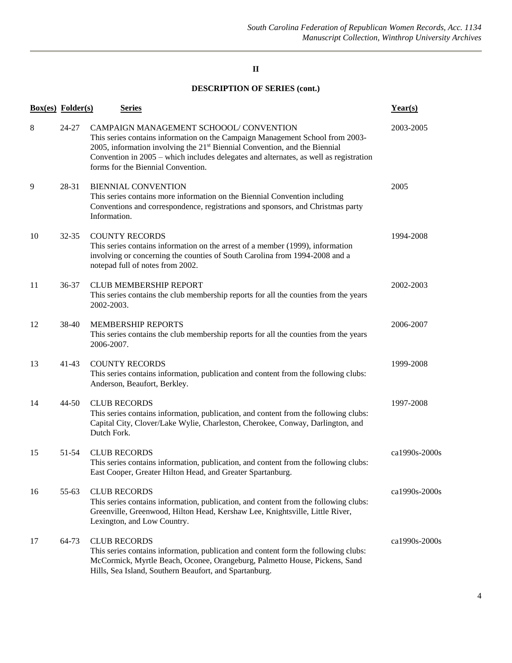#### **II**

## **DESCRIPTION OF SERIES (cont.)**

|    | <b>Box(es)</b> Folder(s) | <b>Series</b>                                                                                                                                                                                                                                                                                                                                    | Year(s)       |
|----|--------------------------|--------------------------------------------------------------------------------------------------------------------------------------------------------------------------------------------------------------------------------------------------------------------------------------------------------------------------------------------------|---------------|
| 8  | 24-27                    | CAMPAIGN MANAGEMENT SCHOOOL/CONVENTION<br>This series contains information on the Campaign Management School from 2003-<br>2005, information involving the 21 <sup>st</sup> Biennial Convention, and the Biennial<br>Convention in 2005 - which includes delegates and alternates, as well as registration<br>forms for the Biennial Convention. | 2003-2005     |
| 9  | 28-31                    | <b>BIENNIAL CONVENTION</b><br>This series contains more information on the Biennial Convention including<br>Conventions and correspondence, registrations and sponsors, and Christmas party<br>Information.                                                                                                                                      | 2005          |
| 10 | $32 - 35$                | <b>COUNTY RECORDS</b><br>This series contains information on the arrest of a member (1999), information<br>involving or concerning the counties of South Carolina from 1994-2008 and a<br>notepad full of notes from 2002.                                                                                                                       | 1994-2008     |
| 11 | 36-37                    | <b>CLUB MEMBERSHIP REPORT</b><br>This series contains the club membership reports for all the counties from the years<br>2002-2003.                                                                                                                                                                                                              | 2002-2003     |
| 12 | 38-40                    | <b>MEMBERSHIP REPORTS</b><br>This series contains the club membership reports for all the counties from the years<br>2006-2007.                                                                                                                                                                                                                  | 2006-2007     |
| 13 | $41-43$                  | <b>COUNTY RECORDS</b><br>This series contains information, publication and content from the following clubs:<br>Anderson, Beaufort, Berkley.                                                                                                                                                                                                     | 1999-2008     |
| 14 | $44 - 50$                | <b>CLUB RECORDS</b><br>This series contains information, publication, and content from the following clubs:<br>Capital City, Clover/Lake Wylie, Charleston, Cherokee, Conway, Darlington, and<br>Dutch Fork.                                                                                                                                     | 1997-2008     |
| 15 | 51-54                    | <b>CLUB RECORDS</b><br>This series contains information, publication, and content from the following clubs:<br>East Cooper, Greater Hilton Head, and Greater Spartanburg.                                                                                                                                                                        | ca1990s-2000s |
| 16 | 55-63                    | <b>CLUB RECORDS</b><br>This series contains information, publication, and content from the following clubs:<br>Greenville, Greenwood, Hilton Head, Kershaw Lee, Knightsville, Little River,<br>Lexington, and Low Country.                                                                                                                       | ca1990s-2000s |
| 17 | 64-73                    | <b>CLUB RECORDS</b><br>This series contains information, publication and content form the following clubs:<br>McCormick, Myrtle Beach, Oconee, Orangeburg, Palmetto House, Pickens, Sand<br>Hills, Sea Island, Southern Beaufort, and Spartanburg.                                                                                               | ca1990s-2000s |